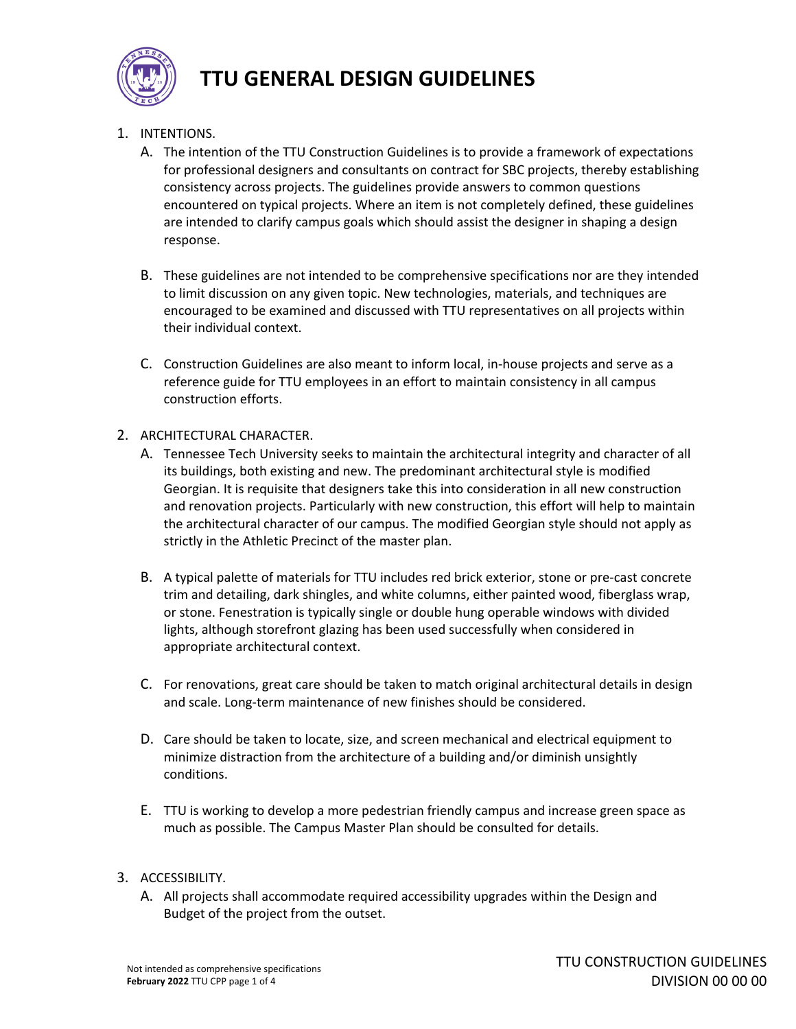

- 1. INTENTIONS.
	- A. The intention of the TTU Construction Guidelines is to provide a framework of expectations for professional designers and consultants on contract for SBC projects, thereby establishing consistency across projects. The guidelines provide answers to common questions encountered on typical projects. Where an item is not completely defined, these guidelines are intended to clarify campus goals which should assist the designer in shaping a design response.
	- B. These guidelines are not intended to be comprehensive specifications nor are they intended to limit discussion on any given topic. New technologies, materials, and techniques are encouraged to be examined and discussed with TTU representatives on all projects within their individual context.
	- C. Construction Guidelines are also meant to inform local, in‐house projects and serve as a reference guide for TTU employees in an effort to maintain consistency in all campus construction efforts.
- 2. ARCHITECTURAL CHARACTER.
	- A. Tennessee Tech University seeks to maintain the architectural integrity and character of all its buildings, both existing and new. The predominant architectural style is modified Georgian. It is requisite that designers take this into consideration in all new construction and renovation projects. Particularly with new construction, this effort will help to maintain the architectural character of our campus. The modified Georgian style should not apply as strictly in the Athletic Precinct of the master plan.
	- B. A typical palette of materials for TTU includes red brick exterior, stone or pre‐cast concrete trim and detailing, dark shingles, and white columns, either painted wood, fiberglass wrap, or stone. Fenestration is typically single or double hung operable windows with divided lights, although storefront glazing has been used successfully when considered in appropriate architectural context.
	- C. For renovations, great care should be taken to match original architectural details in design and scale. Long‐term maintenance of new finishes should be considered.
	- D. Care should be taken to locate, size, and screen mechanical and electrical equipment to minimize distraction from the architecture of a building and/or diminish unsightly conditions.
	- E. TTU is working to develop a more pedestrian friendly campus and increase green space as much as possible. The Campus Master Plan should be consulted for details.
- 3. ACCESSIBILITY.
	- A. All projects shall accommodate required accessibility upgrades within the Design and Budget of the project from the outset.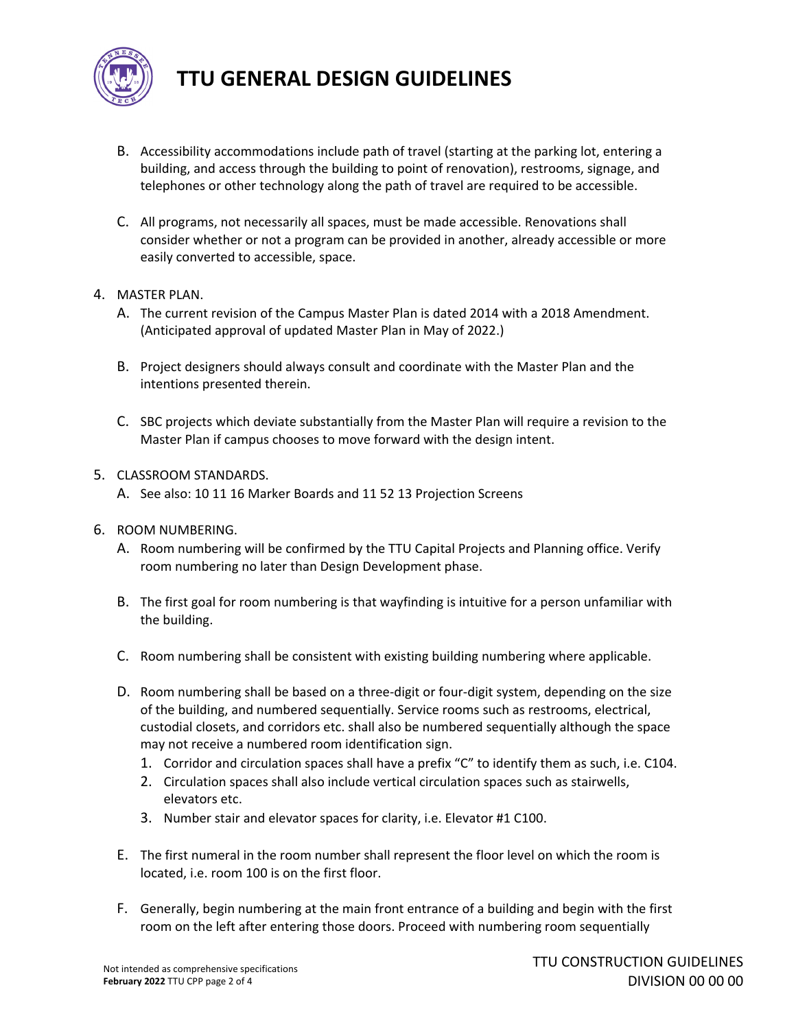

- B. Accessibility accommodations include path of travel (starting at the parking lot, entering a building, and access through the building to point of renovation), restrooms, signage, and telephones or other technology along the path of travel are required to be accessible.
- C. All programs, not necessarily all spaces, must be made accessible. Renovations shall consider whether or not a program can be provided in another, already accessible or more easily converted to accessible, space.
- 4. MASTER PLAN.
	- A. The current revision of the Campus Master Plan is dated 2014 with a 2018 Amendment. (Anticipated approval of updated Master Plan in May of 2022.)
	- B. Project designers should always consult and coordinate with the Master Plan and the intentions presented therein.
	- C. SBC projects which deviate substantially from the Master Plan will require a revision to the Master Plan if campus chooses to move forward with the design intent.
- 5. CLASSROOM STANDARDS.
	- A. See also: 10 11 16 Marker Boards and 11 52 13 Projection Screens
- 6. ROOM NUMBERING.
	- A. Room numbering will be confirmed by the TTU Capital Projects and Planning office. Verify room numbering no later than Design Development phase.
	- B. The first goal for room numbering is that wayfinding is intuitive for a person unfamiliar with the building.
	- C. Room numbering shall be consistent with existing building numbering where applicable.
	- D. Room numbering shall be based on a three-digit or four-digit system, depending on the size of the building, and numbered sequentially. Service rooms such as restrooms, electrical, custodial closets, and corridors etc. shall also be numbered sequentially although the space may not receive a numbered room identification sign.
		- 1. Corridor and circulation spaces shall have a prefix "C" to identify them as such, i.e. C104.
		- 2. Circulation spaces shall also include vertical circulation spaces such as stairwells, elevators etc.
		- 3. Number stair and elevator spaces for clarity, i.e. Elevator #1 C100.
	- E. The first numeral in the room number shall represent the floor level on which the room is located, i.e. room 100 is on the first floor.
	- F. Generally, begin numbering at the main front entrance of a building and begin with the first room on the left after entering those doors. Proceed with numbering room sequentially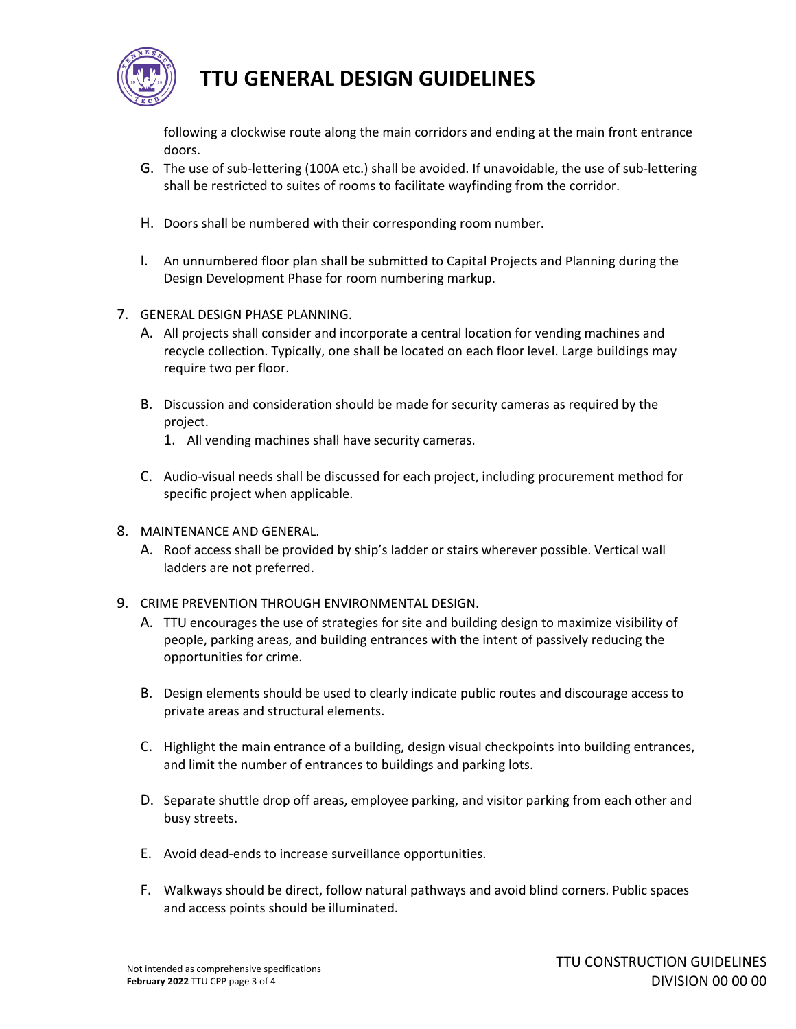

following a clockwise route along the main corridors and ending at the main front entrance doors.

- G. The use of sub‐lettering (100A etc.) shall be avoided. If unavoidable, the use of sub‐lettering shall be restricted to suites of rooms to facilitate wayfinding from the corridor.
- H. Doors shall be numbered with their corresponding room number.
- I. An unnumbered floor plan shall be submitted to Capital Projects and Planning during the Design Development Phase for room numbering markup.
- 7. GENERAL DESIGN PHASE PLANNING.
	- A. All projects shall consider and incorporate a central location for vending machines and recycle collection. Typically, one shall be located on each floor level. Large buildings may require two per floor.
	- B. Discussion and consideration should be made for security cameras as required by the project.
		- 1. All vending machines shall have security cameras.
	- C. Audio‐visual needs shall be discussed for each project, including procurement method for specific project when applicable.
- 8. MAINTENANCE AND GENERAL.
	- A. Roof access shall be provided by ship's ladder or stairs wherever possible. Vertical wall ladders are not preferred.
- 9. CRIME PREVENTION THROUGH ENVIRONMENTAL DESIGN.
	- A. TTU encourages the use of strategies for site and building design to maximize visibility of people, parking areas, and building entrances with the intent of passively reducing the opportunities for crime.
	- B. Design elements should be used to clearly indicate public routes and discourage access to private areas and structural elements.
	- C. Highlight the main entrance of a building, design visual checkpoints into building entrances, and limit the number of entrances to buildings and parking lots.
	- D. Separate shuttle drop off areas, employee parking, and visitor parking from each other and busy streets.
	- E. Avoid dead‐ends to increase surveillance opportunities.
	- F. Walkways should be direct, follow natural pathways and avoid blind corners. Public spaces and access points should be illuminated.